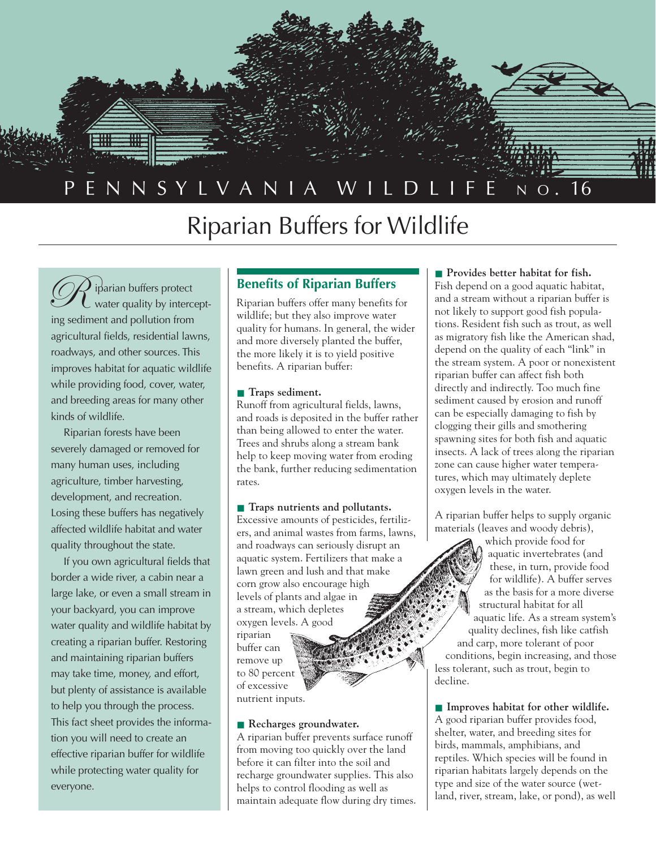

# Riparian Buffers for Wildlife

iparian buffers protect water quality by intercepting sediment and pollution from agricultural fields, residential lawns, roadways, and other sources. This improves habitat for aquatic wildlife while providing food, cover, water, and breeding areas for many other kinds of wildlife.  $\mathscr{R}$ 

Riparian forests have been severely damaged or removed for many human uses, including agriculture, timber harvesting, development, and recreation. Losing these buffers has negatively affected wildlife habitat and water quality throughout the state.

If you own agricultural fields that border a wide river, a cabin near a large lake, or even a small stream in your backyard, you can improve water quality and wildlife habitat by creating a riparian buffer. Restoring and maintaining riparian buffers may take time, money, and effort, but plenty of assistance is available to help you through the process. This fact sheet provides the information you will need to create an effective riparian buffer for wildlife while protecting water quality for everyone.

### **Benefits of Riparian Buffers**

Riparian buffers offer many benefits for wildlife; but they also improve water quality for humans. In general, the wider and more diversely planted the buffer, the more likely it is to yield positive benefits. A riparian buffer:

### ■ **Traps sediment.**

Runoff from agricultural fields, lawns, and roads is deposited in the buffer rather than being allowed to enter the water. Trees and shrubs along a stream bank help to keep moving water from eroding the bank, further reducing sedimentation rates.

■ **Traps nutrients and pollutants.** Excessive amounts of pesticides, fertilizers, and animal wastes from farms, lawns, and roadways can seriously disrupt an aquatic system. Fertilizers that make a lawn green and lush and that make corn grow also encourage high levels of plants and algae in a stream, which depletes oxygen levels. A good riparian

buffer can remove up to 80 percent of excessive nutrient inputs.

### ■ **Recharges groundwater.**

A riparian buffer prevents surface runoff from moving too quickly over the land before it can filter into the soil and recharge groundwater supplies. This also helps to control flooding as well as maintain adequate flow during dry times.

### ■ **Provides better habitat for fish.**

Fish depend on a good aquatic habitat, and a stream without a riparian buffer is not likely to support good fish populations. Resident fish such as trout, as well as migratory fish like the American shad, depend on the quality of each "link" in the stream system. A poor or nonexistent riparian buffer can affect fish both directly and indirectly. Too much fine sediment caused by erosion and runoff can be especially damaging to fish by clogging their gills and smothering spawning sites for both fish and aquatic insects. A lack of trees along the riparian zone can cause higher water temperatures, which may ultimately deplete oxygen levels in the water.

A riparian buffer helps to supply organic materials (leaves and woody debris),

which provide food for aquatic invertebrates (and these, in turn, provide food for wildlife). A buffer serves as the basis for a more diverse structural habitat for all aquatic life. As a stream system's quality declines, fish like catfish and carp, more tolerant of poor conditions, begin increasing, and those less tolerant, such as trout, begin to decline.

■ **Improves habitat for other wildlife.** A good riparian buffer provides food, shelter, water, and breeding sites for birds, mammals, amphibians, and reptiles. Which species will be found in riparian habitats largely depends on the type and size of the water source (wetland, river, stream, lake, or pond), as well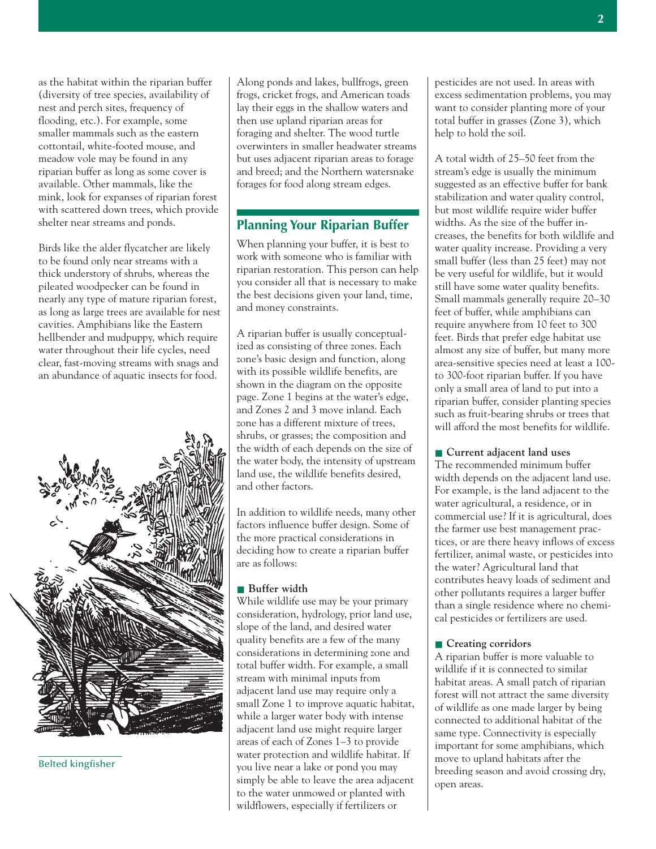as the habitat within the riparian buffer (diversity of tree species, availability of nest and perch sites, frequency of flooding, etc.). For example, some smaller mammals such as the eastern cottontail, white-footed mouse, and meadow vole may be found in any riparian buffer as long as some cover is available. Other mammals, like the mink, look for expanses of riparian forest with scattered down trees, which provide shelter near streams and ponds.

Birds like the alder flycatcher are likely to be found only near streams with a thick understory of shrubs, whereas the pileated woodpecker can be found in nearly any type of mature riparian forest, as long as large trees are available for nest cavities. Amphibians like the Eastern hellbender and mudpuppy, which require water throughout their life cycles, need clear, fast-moving streams with snags and an abundance of aquatic insects for food.



Belted kingfisher

Along ponds and lakes, bullfrogs, green frogs, cricket frogs, and American toads lay their eggs in the shallow waters and then use upland riparian areas for foraging and shelter. The wood turtle overwinters in smaller headwater streams but uses adjacent riparian areas to forage and breed; and the Northern watersnake forages for food along stream edges.

### **Planning Your Riparian Buffer**

When planning your buffer, it is best to work with someone who is familiar with riparian restoration. This person can help you consider all that is necessary to make the best decisions given your land, time, and money constraints.

A riparian buffer is usually conceptualized as consisting of three zones. Each zone's basic design and function, along with its possible wildlife benefits, are shown in the diagram on the opposite page. Zone 1 begins at the water's edge, and Zones 2 and 3 move inland. Each zone has a different mixture of trees, shrubs, or grasses; the composition and the width of each depends on the size of the water body, the intensity of upstream land use, the wildlife benefits desired, and other factors.

In addition to wildlife needs, many other factors influence buffer design. Some of the more practical considerations in deciding how to create a riparian buffer are as follows:

### ■ **Buffer** width

While wildlife use may be your primary consideration, hydrology, prior land use, slope of the land, and desired water quality benefits are a few of the many considerations in determining zone and total buffer width. For example, a small stream with minimal inputs from adjacent land use may require only a small Zone 1 to improve aquatic habitat, while a larger water body with intense adjacent land use might require larger areas of each of Zones 1–3 to provide water protection and wildlife habitat. If you live near a lake or pond you may simply be able to leave the area adjacent to the water unmowed or planted with wildflowers, especially if fertilizers or

pesticides are not used. In areas with excess sedimentation problems, you may want to consider planting more of your total buffer in grasses (Zone 3), which help to hold the soil.

A total width of 25–50 feet from the stream's edge is usually the minimum suggested as an effective buffer for bank stabilization and water quality control, but most wildlife require wider buffer widths. As the size of the buffer increases, the benefits for both wildlife and water quality increase. Providing a very small buffer (less than 25 feet) may not be very useful for wildlife, but it would still have some water quality benefits. Small mammals generally require 20–30 feet of buffer, while amphibians can require anywhere from 10 feet to 300 feet. Birds that prefer edge habitat use almost any size of buffer, but many more area-sensitive species need at least a 100 to 300-foot riparian buffer. If you have only a small area of land to put into a riparian buffer, consider planting species such as fruit-bearing shrubs or trees that will afford the most benefits for wildlife.

■ **Current adjacent land uses** The recommended minimum buffer width depends on the adjacent land use. For example, is the land adjacent to the water agricultural, a residence, or in commercial use? If it is agricultural, does the farmer use best management practices, or are there heavy inflows of excess fertilizer, animal waste, or pesticides into the water? Agricultural land that contributes heavy loads of sediment and other pollutants requires a larger buffer than a single residence where no chemical pesticides or fertilizers are used.

### ■ **Creating corridors**

A riparian buffer is more valuable to wildlife if it is connected to similar habitat areas. A small patch of riparian forest will not attract the same diversity of wildlife as one made larger by being connected to additional habitat of the same type. Connectivity is especially important for some amphibians, which move to upland habitats after the breeding season and avoid crossing dry, open areas.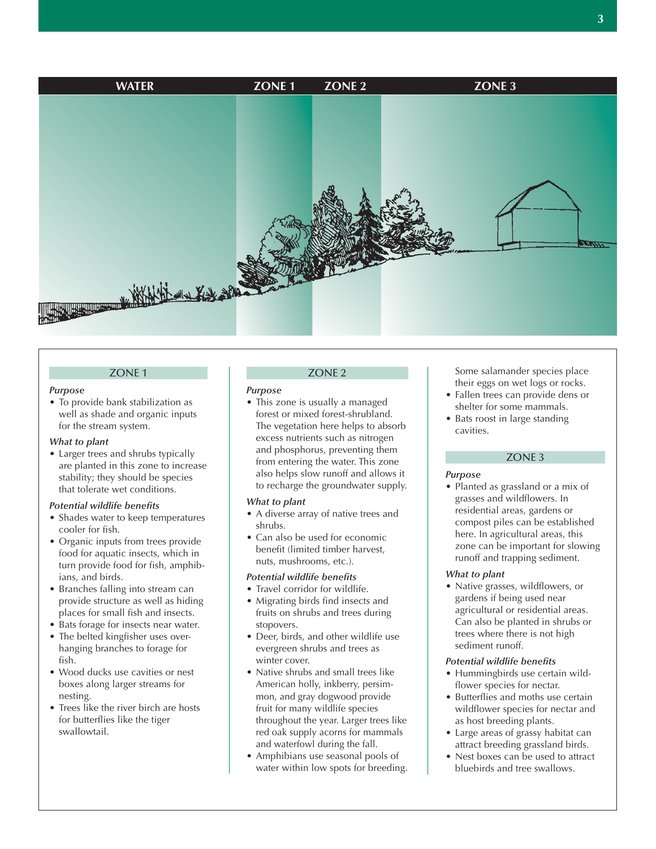

#### ZONE 1

#### *Purpose*

• To provide bank stabilization as well as shade and organic inputs for the stream system.

#### *What to plant*

• Larger trees and shrubs typically are planted in this zone to increase stability; they should be species that tolerate wet conditions.

#### *Potential wildlife benefits*

- Shades water to keep temperatures cooler for fish.
- Organic inputs from trees provide food for aquatic insects, which in turn provide food for fish, amphibians, and birds.
- Branches falling into stream can provide structure as well as hiding places for small fish and insects.
- Bats forage for insects near water.
- The belted kingfisher uses overhanging branches to forage for fish.
- Wood ducks use cavities or nest boxes along larger streams for nesting.
- Trees like the river birch are hosts for butterflies like the tiger swallowtail.

#### ZONE 2

#### *Purpose*

• This zone is usually a managed forest or mixed forest-shrubland. The vegetation here helps to absorb excess nutrients such as nitrogen and phosphorus, preventing them from entering the water. This zone also helps slow runoff and allows it to recharge the groundwater supply.

#### *What to plant*

- A diverse array of native trees and shrubs.
- Can also be used for economic benefit (limited timber harvest, nuts, mushrooms, etc.).

### *Potential wildlife benefits*

- Travel corridor for wildlife.
- Migrating birds find insects and fruits on shrubs and trees during stopovers.
- Deer, birds, and other wildlife use evergreen shrubs and trees as winter cover.
- Native shrubs and small trees like American holly, inkberry, persimmon, and gray dogwood provide fruit for many wildlife species throughout the year. Larger trees like red oak supply acorns for mammals and waterfowl during the fall.
- Amphibians use seasonal pools of water within low spots for breeding.

Some salamander species place their eggs on wet logs or rocks.

- Fallen trees can provide dens or shelter for some mammals.
- Bats roost in large standing cavities.

### ZONE 3

#### *Purpose*

• Planted as grassland or a mix of grasses and wildflowers. In residential areas, gardens or compost piles can be established here. In agricultural areas, this zone can be important for slowing runoff and trapping sediment.

#### *What to plant*

• Native grasses, wildflowers, or gardens if being used near agricultural or residential areas. Can also be planted in shrubs or trees where there is not high sediment runoff.

#### *Potential wildlife benefits*

- Hummingbirds use certain wildflower species for nectar.
- Butterflies and moths use certain wildflower species for nectar and as host breeding plants.
- Large areas of grassy habitat can attract breeding grassland birds.
- Nest boxes can be used to attract bluebirds and tree swallows.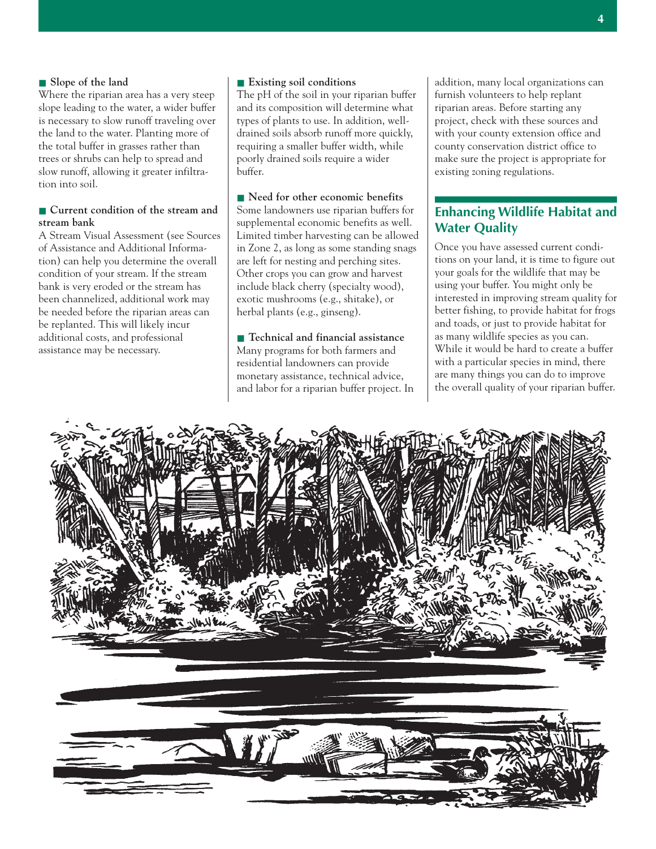### ■ **Slope of the land**

Where the riparian area has a very steep slope leading to the water, a wider buffer is necessary to slow runoff traveling over the land to the water. Planting more of the total buffer in grasses rather than trees or shrubs can help to spread and slow runoff, allowing it greater infiltration into soil.

### ■ **Current condition of the stream and stream bank**

A Stream Visual Assessment (see Sources of Assistance and Additional Information) can help you determine the overall condition of your stream. If the stream bank is very eroded or the stream has been channelized, additional work may be needed before the riparian areas can be replanted. This will likely incur additional costs, and professional assistance may be necessary.

### ■ **Existing soil conditions**

The pH of the soil in your riparian buffer and its composition will determine what types of plants to use. In addition, welldrained soils absorb runoff more quickly, requiring a smaller buffer width, while poorly drained soils require a wider buffer.

■ **Need for other economic benefits** Some landowners use riparian buffers for supplemental economic benefits as well. Limited timber harvesting can be allowed in Zone 2, as long as some standing snags are left for nesting and perching sites. Other crops you can grow and harvest include black cherry (specialty wood), exotic mushrooms (e.g., shitake), or herbal plants (e.g., ginseng).

■ **Technical and financial assistance** Many programs for both farmers and residential landowners can provide monetary assistance, technical advice, and labor for a riparian buffer project. In addition, many local organizations can furnish volunteers to help replant riparian areas. Before starting any project, check with these sources and with your county extension office and county conservation district office to make sure the project is appropriate for existing zoning regulations.

### **Enhancing Wildlife Habitat and Water Quality**

Once you have assessed current conditions on your land, it is time to figure out your goals for the wildlife that may be using your buffer. You might only be interested in improving stream quality for better fishing, to provide habitat for frogs and toads, or just to provide habitat for as many wildlife species as you can. While it would be hard to create a buffer with a particular species in mind, there are many things you can do to improve the overall quality of your riparian buffer.

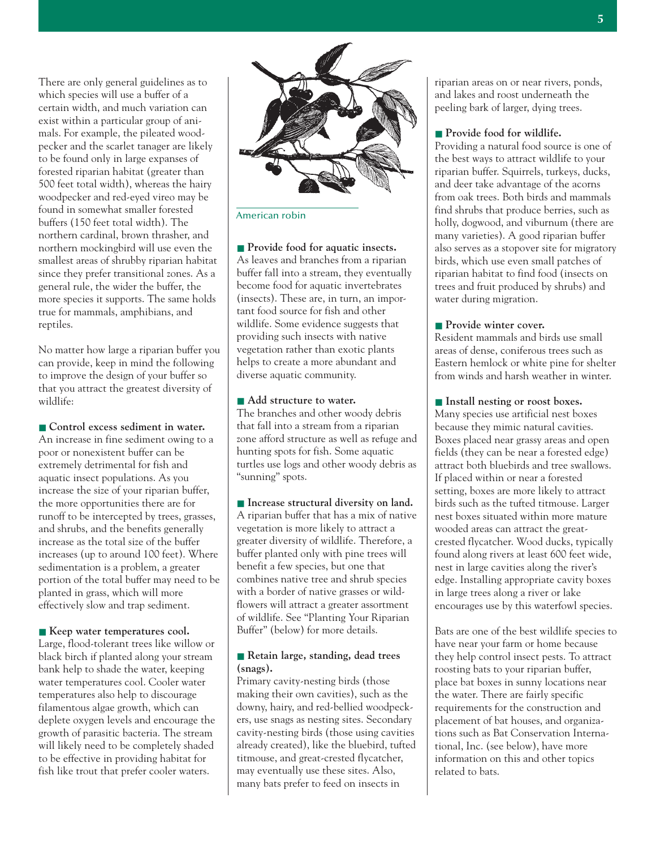There are only general guidelines as to which species will use a buffer of a certain width, and much variation can exist within a particular group of animals. For example, the pileated woodpecker and the scarlet tanager are likely to be found only in large expanses of forested riparian habitat (greater than 500 feet total width), whereas the hairy woodpecker and red-eyed vireo may be found in somewhat smaller forested buffers (150 feet total width). The northern cardinal, brown thrasher, and northern mockingbird will use even the smallest areas of shrubby riparian habitat since they prefer transitional zones. As a general rule, the wider the buffer, the more species it supports. The same holds true for mammals, amphibians, and reptiles.

No matter how large a riparian buffer you can provide, keep in mind the following to improve the design of your buffer so that you attract the greatest diversity of wildlife:

■ **Control excess sediment in water.** An increase in fine sediment owing to a poor or nonexistent buffer can be extremely detrimental for fish and aquatic insect populations. As you increase the size of your riparian buffer, the more opportunities there are for runoff to be intercepted by trees, grasses, and shrubs, and the benefits generally increase as the total size of the buffer increases (up to around 100 feet). Where sedimentation is a problem, a greater portion of the total buffer may need to be planted in grass, which will more effectively slow and trap sediment.

■ **Keep** water temperatures cool. Large, flood-tolerant trees like willow or black birch if planted along your stream bank help to shade the water, keeping water temperatures cool. Cooler water temperatures also help to discourage filamentous algae growth, which can deplete oxygen levels and encourage the growth of parasitic bacteria. The stream will likely need to be completely shaded to be effective in providing habitat for fish like trout that prefer cooler waters.



### American robin

■ **Provide food for aquatic insects.** As leaves and branches from a riparian buffer fall into a stream, they eventually become food for aquatic invertebrates (insects). These are, in turn, an important food source for fish and other wildlife. Some evidence suggests that providing such insects with native vegetation rather than exotic plants helps to create a more abundant and diverse aquatic community.

### ■ Add structure to water.

The branches and other woody debris that fall into a stream from a riparian zone afford structure as well as refuge and hunting spots for fish. Some aquatic turtles use logs and other woody debris as "sunning" spots.

■ **Increase structural diversity on land.** A riparian buffer that has a mix of native vegetation is more likely to attract a greater diversity of wildlife. Therefore, a buffer planted only with pine trees will benefit a few species, but one that combines native tree and shrub species with a border of native grasses or wildflowers will attract a greater assortment of wildlife. See "Planting Your Riparian Buffer" (below) for more details.

### ■ **Retain large, standing, dead trees (snags).**

Primary cavity-nesting birds (those making their own cavities), such as the downy, hairy, and red-bellied woodpeckers, use snags as nesting sites. Secondary cavity-nesting birds (those using cavities already created), like the bluebird, tufted titmouse, and great-crested flycatcher, may eventually use these sites. Also, many bats prefer to feed on insects in

riparian areas on or near rivers, ponds, and lakes and roost underneath the peeling bark of larger, dying trees.

### ■ **Provide food for wildlife.**

Providing a natural food source is one of the best ways to attract wildlife to your riparian buffer. Squirrels, turkeys, ducks, and deer take advantage of the acorns from oak trees. Both birds and mammals find shrubs that produce berries, such as holly, dogwood, and viburnum (there are many varieties). A good riparian buffer also serves as a stopover site for migratory birds, which use even small patches of riparian habitat to find food (insects on trees and fruit produced by shrubs) and water during migration.

### ■ **Provide winter cover.**

Resident mammals and birds use small areas of dense, coniferous trees such as Eastern hemlock or white pine for shelter from winds and harsh weather in winter.

■ **Install nesting or roost boxes.** Many species use artificial nest boxes because they mimic natural cavities. Boxes placed near grassy areas and open fields (they can be near a forested edge) attract both bluebirds and tree swallows. If placed within or near a forested setting, boxes are more likely to attract birds such as the tufted titmouse. Larger nest boxes situated within more mature wooded areas can attract the greatcrested flycatcher. Wood ducks, typically found along rivers at least 600 feet wide, nest in large cavities along the river's edge. Installing appropriate cavity boxes in large trees along a river or lake encourages use by this waterfowl species.

Bats are one of the best wildlife species to have near your farm or home because they help control insect pests. To attract roosting bats to your riparian buffer, place bat boxes in sunny locations near the water. There are fairly specific requirements for the construction and placement of bat houses, and organizations such as Bat Conservation International, Inc. (see below), have more information on this and other topics related to bats.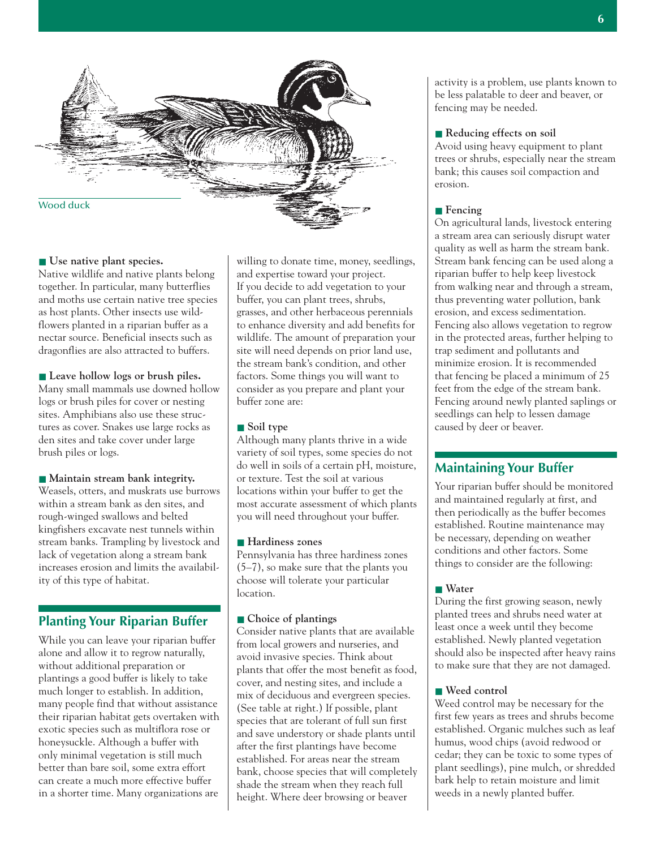

### ■ Use native plant species.

Native wildlife and native plants belong together. In particular, many butterflies and moths use certain native tree species as host plants. Other insects use wildflowers planted in a riparian buffer as a nectar source. Beneficial insects such as dragonflies are also attracted to buffers.

### ■ **Leave hollow logs or brush piles.**

Many small mammals use downed hollow logs or brush piles for cover or nesting sites. Amphibians also use these structures as cover. Snakes use large rocks as den sites and take cover under large brush piles or logs.

### ■ Maintain stream bank integrity.

Weasels, otters, and muskrats use burrows within a stream bank as den sites, and rough-winged swallows and belted kingfishers excavate nest tunnels within stream banks. Trampling by livestock and lack of vegetation along a stream bank increases erosion and limits the availability of this type of habitat.

### **Planting Your Riparian Buffer**

While you can leave your riparian buffer alone and allow it to regrow naturally, without additional preparation or plantings a good buffer is likely to take much longer to establish. In addition, many people find that without assistance their riparian habitat gets overtaken with exotic species such as multiflora rose or honeysuckle. Although a buffer with only minimal vegetation is still much better than bare soil, some extra effort can create a much more effective buffer in a shorter time. Many organizations are

willing to donate time, money, seedlings, and expertise toward your project. If you decide to add vegetation to your buffer, you can plant trees, shrubs, grasses, and other herbaceous perennials to enhance diversity and add benefits for wildlife. The amount of preparation your site will need depends on prior land use, the stream bank's condition, and other factors. Some things you will want to consider as you prepare and plant your buffer zone are:

### ■ Soil type

Although many plants thrive in a wide variety of soil types, some species do not do well in soils of a certain pH, moisture, or texture. Test the soil at various locations within your buffer to get the most accurate assessment of which plants you will need throughout your buffer.

### ■ **Hardiness** zones

Pennsylvania has three hardiness zones (5–7), so make sure that the plants you choose will tolerate your particular location.

### ■ **Choice of plantings**

Consider native plants that are available from local growers and nurseries, and avoid invasive species. Think about plants that offer the most benefit as food, cover, and nesting sites, and include a mix of deciduous and evergreen species. (See table at right.) If possible, plant species that are tolerant of full sun first and save understory or shade plants until after the first plantings have become established. For areas near the stream bank, choose species that will completely shade the stream when they reach full height. Where deer browsing or beaver

activity is a problem, use plants known to be less palatable to deer and beaver, or fencing may be needed.

### ■ **Reducing effects on soil**

Avoid using heavy equipment to plant trees or shrubs, especially near the stream bank; this causes soil compaction and erosion.

### ■ **Fencing**

On agricultural lands, livestock entering a stream area can seriously disrupt water quality as well as harm the stream bank. Stream bank fencing can be used along a riparian buffer to help keep livestock from walking near and through a stream, thus preventing water pollution, bank erosion, and excess sedimentation. Fencing also allows vegetation to regrow in the protected areas, further helping to trap sediment and pollutants and minimize erosion. It is recommended that fencing be placed a minimum of 25 feet from the edge of the stream bank. Fencing around newly planted saplings or seedlings can help to lessen damage caused by deer or beaver.

### **Maintaining Your Buffer**

Your riparian buffer should be monitored and maintained regularly at first, and then periodically as the buffer becomes established. Routine maintenance may be necessary, depending on weather conditions and other factors. Some things to consider are the following:

### ■ Water

During the first growing season, newly planted trees and shrubs need water at least once a week until they become established. Newly planted vegetation should also be inspected after heavy rains to make sure that they are not damaged.

### ■ **Weed control**

Weed control may be necessary for the first few years as trees and shrubs become established. Organic mulches such as leaf humus, wood chips (avoid redwood or cedar; they can be toxic to some types of plant seedlings), pine mulch, or shredded bark help to retain moisture and limit weeds in a newly planted buffer.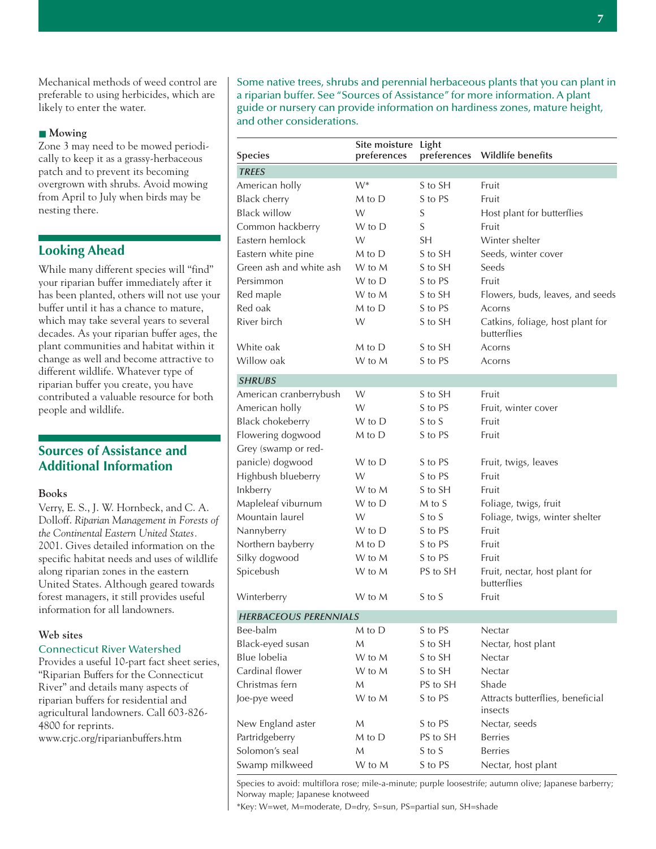Mechanical methods of weed control are preferable to using herbicides, which are likely to enter the water.

### ■ **Mowing**

Zone 3 may need to be mowed periodically to keep it as a grassy-herbaceous patch and to prevent its becoming overgrown with shrubs. Avoid mowing from April to July when birds may be nesting there.

### **Looking Ahead**

While many different species will "find" your riparian buffer immediately after it has been planted, others will not use your buffer until it has a chance to mature, which may take several years to several decades. As your riparian buffer ages, the plant communities and habitat within it change as well and become attractive to different wildlife. Whatever type of riparian buffer you create, you have contributed a valuable resource for both people and wildlife.

### **Sources of Assistance and Additional Information**

### **Books**

Verry, E. S., J. W. Hornbeck, and C. A. Dolloff. *Riparian Management in Forests of the Continental Eastern United States.* 2001. Gives detailed information on the specific habitat needs and uses of wildlife along riparian zones in the eastern United States. Although geared towards forest managers, it still provides useful information for all landowners.

### **Web sites**

### Connecticut River Watershed

Provides a useful 10-part fact sheet series, "Riparian Buffers for the Connecticut River" and details many aspects of riparian buffers for residential and agricultural landowners. Call 603-826- 4800 for reprints.

www.crjc.org/riparianbuffers.htm

Some native trees, shrubs and perennial herbaceous plants that you can plant in a riparian buffer. See "Sources of Assistance" for more information. A plant guide or nursery can provide information on hardiness zones, mature height, and other considerations.

| <b>Species</b>               | Site moisture Light<br>preferences | preferences | <b>Wildlife benefits</b>                        |
|------------------------------|------------------------------------|-------------|-------------------------------------------------|
| <b>TREES</b>                 |                                    |             |                                                 |
| American holly               | $W^*$                              | S to SH     | Fruit                                           |
| <b>Black cherry</b>          | M to D                             | S to PS     | Fruit                                           |
| <b>Black willow</b>          | W                                  | S           | Host plant for butterflies                      |
| Common hackberry             | W to D                             | S           | Fruit                                           |
| Eastern hemlock              | W                                  | SH          | Winter shelter                                  |
| Eastern white pine           | M to D                             | S to SH     | Seeds, winter cover                             |
| Green ash and white ash      | W to M                             | S to SH     | Seeds                                           |
| Persimmon                    | W to D                             | S to PS     | Fruit                                           |
| Red maple                    | W to M                             | S to SH     | Flowers, buds, leaves, and seeds                |
| Red oak                      | M to D                             | S to PS     | Acorns                                          |
| River birch                  | W                                  | S to SH     | Catkins, foliage, host plant for<br>butterflies |
| White oak                    | M to D                             | S to SH     | Acorns                                          |
| Willow oak                   | W to M                             | S to PS     | Acorns                                          |
| <b>SHRUBS</b>                |                                    |             |                                                 |
| American cranberrybush       | W                                  | S to SH     | Fruit                                           |
| American holly               | W                                  | S to PS     | Fruit, winter cover                             |
| <b>Black chokeberry</b>      | W to D                             | S to S      | Fruit                                           |
| Flowering dogwood            | M to D                             | S to PS     | Fruit                                           |
| Grey (swamp or red-          |                                    |             |                                                 |
| panicle) dogwood             | W to D                             | S to PS     | Fruit, twigs, leaves                            |
| Highbush blueberry           | W                                  | S to PS     | Fruit                                           |
| Inkberry                     | W to M                             | S to SH     | Fruit                                           |
| Mapleleaf viburnum           | W to D                             | M to S      | Foliage, twigs, fruit                           |
| Mountain laurel              | W                                  | S to S      | Foliage, twigs, winter shelter                  |
| Nannyberry                   | W to D                             | S to PS     | Fruit                                           |
| Northern bayberry            | M to D                             | S to PS     | Fruit                                           |
| Silky dogwood                | W to M                             | S to PS     | Fruit                                           |
| Spicebush                    | W to M                             | PS to SH    | Fruit, nectar, host plant for<br>butterflies    |
| Winterberry                  | W to M                             | S to S      | Fruit                                           |
| <b>HERBACEOUS PERENNIALS</b> |                                    |             |                                                 |
| Bee-balm                     | M to D                             | S to PS     | Nectar                                          |
| Black-eyed susan             | M                                  | S to SH     | Nectar, host plant                              |
| Blue lobelia                 | W to M                             | S to SH     | Nectar                                          |
| Cardinal flower              | W to M                             | S to SH     | Nectar                                          |
| Christmas fern               | M                                  | PS to SH    | Shade                                           |
| Joe-pye weed                 | W to M                             | S to PS     | Attracts butterflies, beneficial<br>insects     |
| New England aster            | M                                  | S to PS     | Nectar, seeds                                   |
| Partridgeberry               | M to D                             | PS to SH    | <b>Berries</b>                                  |
| Solomon's seal               | M                                  | S to S      | <b>Berries</b>                                  |
| Swamp milkweed               | W to M                             | S to PS     | Nectar, host plant                              |

Species to avoid: multiflora rose; mile-a-minute; purple loosestrife; autumn olive; Japanese barberry; Norway maple; Japanese knotweed

\*Key: W=wet, M=moderate, D=dry, S=sun, PS=partial sun, SH=shade